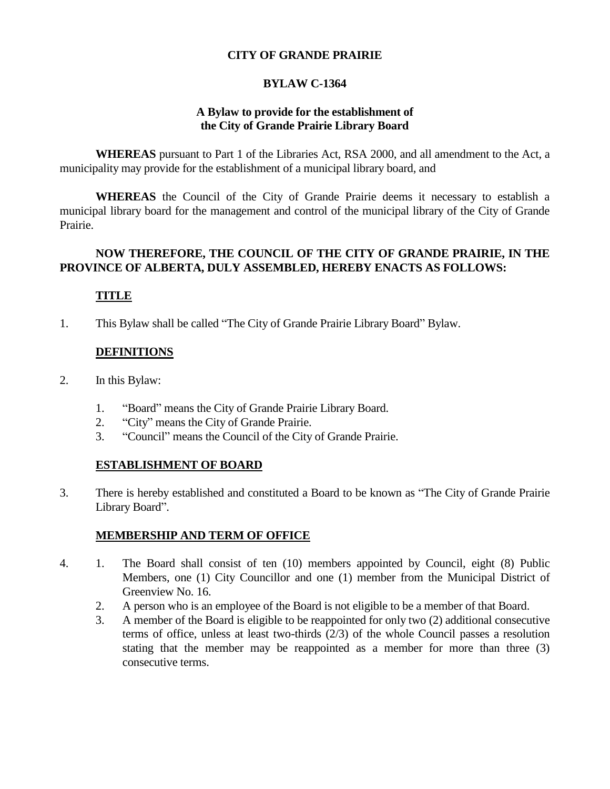#### **CITY OF GRANDE PRAIRIE**

## **BYLAW C-1364**

#### **A Bylaw to provide for the establishment of the City of Grande Prairie Library Board**

**WHEREAS** pursuant to Part 1 of the Libraries Act, RSA 2000, and all amendment to the Act, a municipality may provide for the establishment of a municipal library board, and

**WHEREAS** the Council of the City of Grande Prairie deems it necessary to establish a municipal library board for the management and control of the municipal library of the City of Grande Prairie.

#### **NOW THEREFORE, THE COUNCIL OF THE CITY OF GRANDE PRAIRIE, IN THE PROVINCE OF ALBERTA, DULY ASSEMBLED, HEREBY ENACTS AS FOLLOWS:**

# **TITLE**

1. This Bylaw shall be called "The City of Grande Prairie Library Board" Bylaw.

## **DEFINITIONS**

- 2. In this Bylaw:
	- 1. "Board" means the City of Grande Prairie Library Board.
	- 2. "City" means the City of Grande Prairie.
	- 3. "Council" means the Council of the City of Grande Prairie.

## **ESTABLISHMENT OF BOARD**

3. There is hereby established and constituted a Board to be known as "The City of Grande Prairie Library Board".

## **MEMBERSHIP AND TERM OF OFFICE**

- 4. 1. The Board shall consist of ten (10) members appointed by Council, eight (8) Public Members, one (1) City Councillor and one (1) member from the Municipal District of Greenview No. 16.
	- 2. A person who is an employee of the Board is not eligible to be a member of that Board.
	- 3. A member of the Board is eligible to be reappointed for only two (2) additional consecutive terms of office, unless at least two-thirds (2/3) of the whole Council passes a resolution stating that the member may be reappointed as a member for more than three (3) consecutive terms.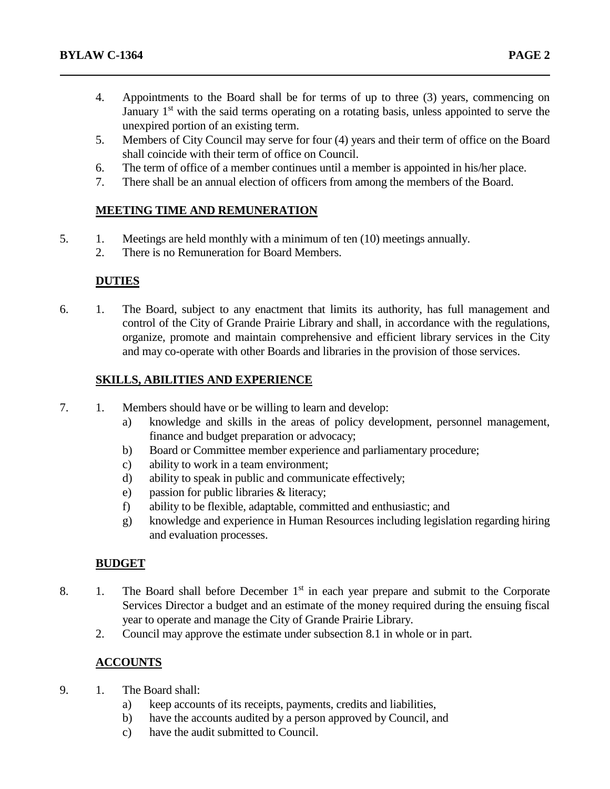- 4. Appointments to the Board shall be for terms of up to three (3) years, commencing on January  $1<sup>st</sup>$  with the said terms operating on a rotating basis, unless appointed to serve the unexpired portion of an existing term.
- 5. Members of City Council may serve for four (4) years and their term of office on the Board shall coincide with their term of office on Council.
- 6. The term of office of a member continues until a member is appointed in his/her place.
- 7. There shall be an annual election of officers from among the members of the Board.

## **MEETING TIME AND REMUNERATION**

- 5. 1. Meetings are held monthly with a minimum of ten (10) meetings annually.
	- 2. There is no Remuneration for Board Members.

## **DUTIES**

6. 1. The Board, subject to any enactment that limits its authority, has full management and control of the City of Grande Prairie Library and shall, in accordance with the regulations, organize, promote and maintain comprehensive and efficient library services in the City and may co-operate with other Boards and libraries in the provision of those services.

# **SKILLS, ABILITIES AND EXPERIENCE**

- 7. 1. Members should have or be willing to learn and develop:
	- a) knowledge and skills in the areas of policy development, personnel management, finance and budget preparation or advocacy;
	- b) Board or Committee member experience and parliamentary procedure;
	- c) ability to work in a team environment;
	- d) ability to speak in public and communicate effectively;
	- e) passion for public libraries & literacy;
	- f) ability to be flexible, adaptable, committed and enthusiastic; and
	- g) knowledge and experience in Human Resources including legislation regarding hiring and evaluation processes.

## **BUDGET**

- 8. 1. The Board shall before December  $1<sup>st</sup>$  in each year prepare and submit to the Corporate Services Director a budget and an estimate of the money required during the ensuing fiscal year to operate and manage the City of Grande Prairie Library.
	- 2. Council may approve the estimate under subsection 8.1 in whole or in part.

## **ACCOUNTS**

- 9. 1. The Board shall:
	- a) keep accounts of its receipts, payments, credits and liabilities,
	- b) have the accounts audited by a person approved by Council, and
	- c) have the audit submitted to Council.